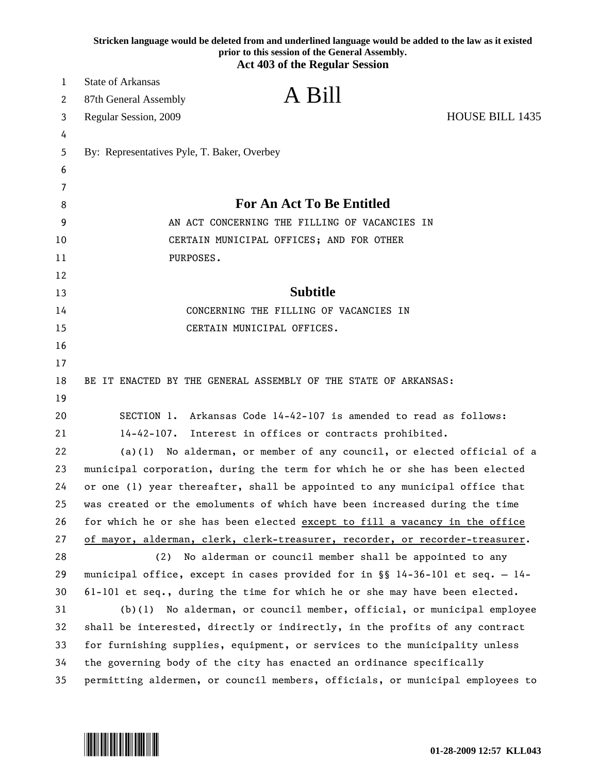|    | Stricken language would be deleted from and underlined language would be added to the law as it existed<br>prior to this session of the General Assembly.<br><b>Act 403 of the Regular Session</b> |
|----|----------------------------------------------------------------------------------------------------------------------------------------------------------------------------------------------------|
| 1  | <b>State of Arkansas</b>                                                                                                                                                                           |
| 2  | A Bill<br>87th General Assembly                                                                                                                                                                    |
| 3  | <b>HOUSE BILL 1435</b><br>Regular Session, 2009                                                                                                                                                    |
| 4  |                                                                                                                                                                                                    |
| 5  | By: Representatives Pyle, T. Baker, Overbey                                                                                                                                                        |
| 6  |                                                                                                                                                                                                    |
| 7  |                                                                                                                                                                                                    |
| 8  | <b>For An Act To Be Entitled</b>                                                                                                                                                                   |
| 9  | AN ACT CONCERNING THE FILLING OF VACANCIES IN                                                                                                                                                      |
| 10 | CERTAIN MUNICIPAL OFFICES; AND FOR OTHER                                                                                                                                                           |
| 11 | PURPOSES.                                                                                                                                                                                          |
| 12 |                                                                                                                                                                                                    |
| 13 | <b>Subtitle</b>                                                                                                                                                                                    |
| 14 | CONCERNING THE FILLING OF VACANCIES IN                                                                                                                                                             |
| 15 | CERTAIN MUNICIPAL OFFICES.                                                                                                                                                                         |
| 16 |                                                                                                                                                                                                    |
| 17 |                                                                                                                                                                                                    |
| 18 | BE IT ENACTED BY THE GENERAL ASSEMBLY OF THE STATE OF ARKANSAS:                                                                                                                                    |
| 19 |                                                                                                                                                                                                    |
| 20 | SECTION 1. Arkansas Code 14-42-107 is amended to read as follows:                                                                                                                                  |
| 21 | $14 - 42 - 107$ .<br>Interest in offices or contracts prohibited.                                                                                                                                  |
| 22 | (a)(1) No alderman, or member of any council, or elected official of a                                                                                                                             |
| 23 | municipal corporation, during the term for which he or she has been elected                                                                                                                        |
| 24 | or one (1) year thereafter, shall be appointed to any municipal office that                                                                                                                        |
| 25 | was created or the emoluments of which have been increased during the time                                                                                                                         |
| 26 | for which he or she has been elected except to fill a vacancy in the office                                                                                                                        |
| 27 | of mayor, alderman, clerk, clerk-treasurer, recorder, or recorder-treasurer.                                                                                                                       |
| 28 | No alderman or council member shall be appointed to any<br>(2)                                                                                                                                     |
| 29 | municipal office, except in cases provided for in §§ 14-36-101 et seq. - 14-                                                                                                                       |
| 30 | $61-101$ et seq., during the time for which he or she may have been elected.                                                                                                                       |
| 31 | No alderman, or council member, official, or municipal employee<br>(b)(1)                                                                                                                          |
| 32 | shall be interested, directly or indirectly, in the profits of any contract                                                                                                                        |
| 33 | for furnishing supplies, equipment, or services to the municipality unless                                                                                                                         |
| 34 | the governing body of the city has enacted an ordinance specifically                                                                                                                               |
| 35 | permitting aldermen, or council members, officials, or municipal employees to                                                                                                                      |